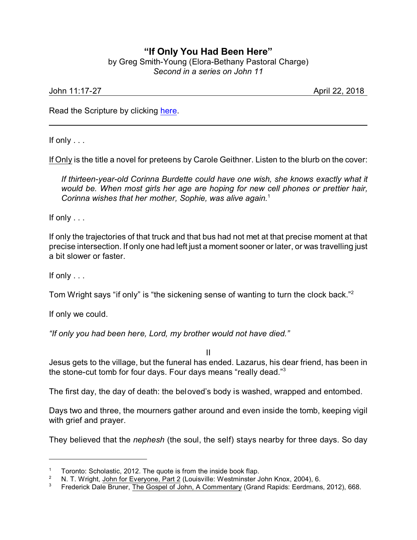## **"If Only You Had Been Here"**

by Greg Smith-Young (Elora-Bethany Pastoral Charge) *Second in a series on John 11*

John 11:17-27 April 22, 2018

Read the Scripture by clicking [here](https://www.biblegateway.com/passage/?search=John+11%3A17-27&version=CEB).

If only . . .

If Only is the title a novel for preteens by Carole Geithner. Listen to the blurb on the cover:

*If thirteen-year-old Corinna Burdette could have one wish, she knows exactly what it would be. When most girls her age are hoping for new cell phones or prettier hair, Corinna wishes that her mother, Sophie, was alive again.*<sup>1</sup>

If only . . .

If only the trajectories of that truck and that bus had not met at that precise moment at that precise intersection. If only one had left just a moment sooner or later, or was travelling just a bit slower or faster.

If only . . .

Tom Wright says "if only" is "the sickening sense of wanting to turn the clock back."<sup>2</sup>

If only we could.

*"If only you had been here, Lord, my brother would not have died."*

II

Jesus gets to the village, but the funeral has ended. Lazarus, his dear friend, has been in the stone-cut tomb for four days. Four days means "really dead."<sup>3</sup>

The first day, the day of death: the beloved's body is washed, wrapped and entombed.

Days two and three, the mourners gather around and even inside the tomb, keeping vigil with grief and prayer.

They believed that the *nephesh* (the soul, the self) stays nearby for three days. So day

<sup>&</sup>lt;sup>1</sup> Toronto: Scholastic, 2012. The quote is from the inside book flap.

<sup>&</sup>lt;sup>2</sup> N. T. Wright, John for Everyone, Part 2 (Louisville: Westminster John Knox, 2004), 6.<br><sup>3</sup> Erederick Dale Bruner, The Gospel of John, A Commentary (Grand Banids: Eerdmans

<sup>3</sup> Frederick Dale Bruner, The Gospel of John, A Commentary (Grand Rapids: Eerdmans, 2012), 668.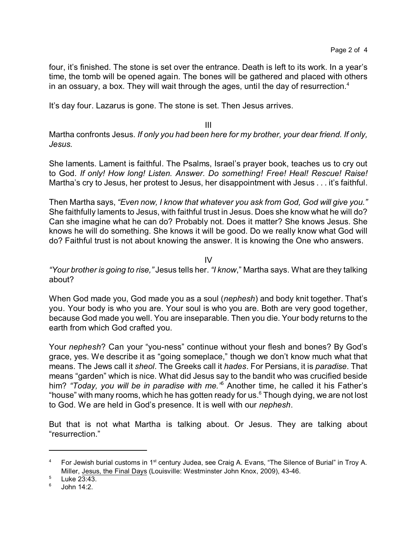four, it's finished. The stone is set over the entrance. Death is left to its work. In a year's time, the tomb will be opened again. The bones will be gathered and placed with others in an ossuary, a box. They will wait through the ages, until the day of resurrection. $4$ 

It's day four. Lazarus is gone. The stone is set. Then Jesus arrives.

III

Martha confronts Jesus. *If only you had been here for my brother, your dear friend. If only, Jesus.*

She laments. Lament is faithful. The Psalms, Israel's prayer book, teaches us to cry out to God. *If only! How long! Listen. Answer. Do something! Free! Heal! Rescue! Raise!* Martha's cry to Jesus, her protest to Jesus, her disappointment with Jesus . . . it's faithful.

Then Martha says, *"Even now, I know that whatever you ask from God, God will give you."* She faithfully laments to Jesus, with faithful trust in Jesus. Does she know what he will do? Can she imagine what he can do? Probably not. Does it matter? She knows Jesus. She knows he will do something. She knows it will be good. Do we really know what God will do? Faithful trust is not about knowing the answer. It is knowing the One who answers.

IV

*"Your brother is going to rise,"* Jesus tells her. *"I know*," Martha says. What are they talking about?

When God made you, God made you as a soul (*nephesh*) and body knit together. That's you. Your body is who you are. Your soul is who you are. Both are very good together, because God made you well. You are inseparable. Then you die. Your body returns to the earth from which God crafted you.

Your *nephesh*? Can your "you-ness" continue without your flesh and bones? By God's grace, yes. We describe it as "going someplace," though we don't know much what that means. The Jews call it *sheol*. The Greeks call it *hades*. For Persians, it is *paradise*. That means "garden" which is nice. What did Jesus say to the bandit who was crucified beside him? *"Today, you will be in paradise with me."*<sup>5</sup> Another time, he called it his Father's "house" with many rooms, which he has gotten ready for us. $6$  Though dying, we are not lost to God. We are held in God's presence. It is well with our *nephesh*.

But that is not what Martha is talking about. Or Jesus. They are talking about "resurrection."

<sup>&</sup>lt;sup>4</sup> For Jewish burial customs in 1<sup>st</sup> century Judea, see Craig A. Evans, "The Silence of Burial" in Troy A. Miller, Jesus, the Final Days (Louisville: Westminster John Knox, 2009), 43-46.

 $5$  Luke 23:43.

<sup>6</sup> John 14:2.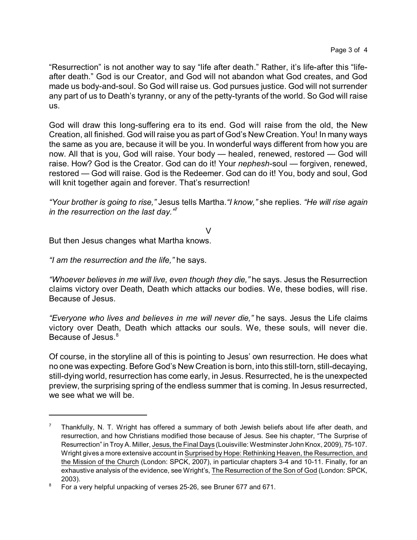"Resurrection" is not another way to say "life after death." Rather, it's life-after this "lifeafter death." God is our Creator, and God will not abandon what God creates, and God made us body-and-soul. So God will raise us. God pursues justice. God will not surrender any part of us to Death's tyranny, or any of the petty-tyrants of the world. So God will raise us.

God will draw this long-suffering era to its end. God will raise from the old, the New Creation, all finished. God will raise you as part of God's New Creation. You! In many ways the same as you are, because it will be you. In wonderful ways different from how you are now. All that is you, God will raise. Your body — healed, renewed, restored — God will raise. How? God is the Creator. God can do it! Your *nephesh*-soul — forgiven, renewed, restored — God will raise. God is the Redeemer. God can do it! You, body and soul, God will knit together again and forever. That's resurrection!

*"Your brother is going to rise,"* Jesus tells Martha.*"I know,"* she replies. *"He will rise again in the resurrection on the last day."*<sup>7</sup>

V

But then Jesus changes what Martha knows.

*"I am the resurrection and the life,"* he says.

*"Whoever believes in me will live, even though they die,"* he says. Jesus the Resurrection claims victory over Death, Death which attacks our bodies. We, these bodies, will rise. Because of Jesus.

*"Everyone who lives and believes in me will never die,"* he says. Jesus the Life claims victory over Death, Death which attacks our souls. We, these souls, will never die. Because of Jesus.<sup>8</sup>

Of course, in the storyline all of this is pointing to Jesus' own resurrection. He does what no one was expecting. Before God's New Creation is born, into this still-torn, still-decaying, still-dying world, resurrection has come early, in Jesus. Resurrected, he is the unexpected preview, the surprising spring of the endless summer that is coming. In Jesus resurrected, we see what we will be.

<sup>7</sup> Thankfully, N. T. Wright has offered a summary of both Jewish beliefs about life after death, and resurrection, and how Christians modified those because of Jesus. See his chapter, "The Surprise of Resurrection" in Troy A. Miller, Jesus, the Final Days (Louisville: Westminster John Knox, 2009), 75-107. Wright gives a more extensive account in Surprised by Hope: Rethinking Heaven, the Resurrection, and the Mission of the Church (London: SPCK, 2007), in particular chapters 3-4 and 10-11. Finally, for an exhaustive analysis of the evidence, see Wright's, The Resurrection of the Son of God (London: SPCK, 2003).

<sup>&</sup>lt;sup>8</sup> For a very helpful unpacking of verses 25-26, see Bruner 677 and 671.